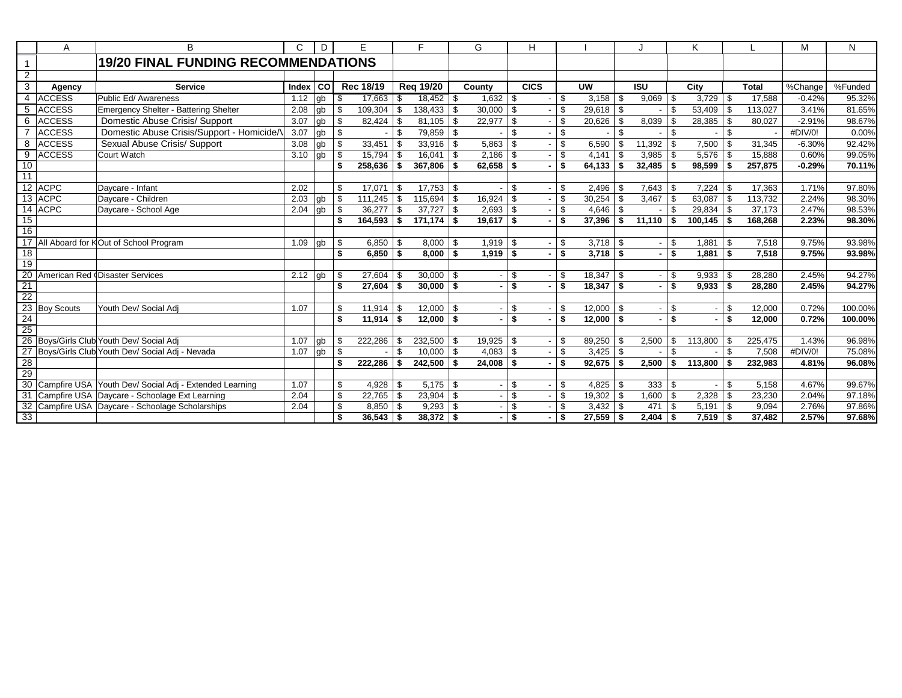|                 | Α             | B                                                                                                             | C     | D     | E.                |            | F.               |     | G      |          | н           |                |              |                        |                | ĸ          |      |              | M        | N       |
|-----------------|---------------|---------------------------------------------------------------------------------------------------------------|-------|-------|-------------------|------------|------------------|-----|--------|----------|-------------|----------------|--------------|------------------------|----------------|------------|------|--------------|----------|---------|
| $\overline{1}$  |               | <b>19/20 FINAL FUNDING RECOMMENDATIONS</b>                                                                    |       |       |                   |            |                  |     |        |          |             |                |              |                        |                |            |      |              |          |         |
| $\overline{2}$  |               |                                                                                                               |       |       |                   |            |                  |     |        |          |             |                |              |                        |                |            |      |              |          |         |
| 3               | Agency        | <b>Service</b>                                                                                                | Index | l col | Rec 18/19         |            | <b>Reg 19/20</b> |     | County |          | <b>CICS</b> |                | <b>UW</b>    | <b>ISU</b>             |                | City       |      | <b>Total</b> | %Change  | %Funded |
| 4               | <b>ACCESS</b> | Public Ed/ Awareness                                                                                          | 1.12  | qb    | \$<br>17,663      | - \$       | 18,452           | -S  | 1.632  | - \$     |             | $\mathbf{\$}$  |              | 9,069                  | \$             |            |      | 17.588       | $-0.42%$ | 95.32%  |
| 5               | <b>ACCESS</b> | <b>Emergency Shelter - Battering Shelter</b>                                                                  | 2.08  | gb    | \$<br>109,304     | - \$       | 138,433          | \$  | 30,000 | -\$      |             | \$             | $29,618$ \$  |                        | \$             | 53,409     | - \$ | 113,027      | 3.41%    | 81.65%  |
| 6               | <b>ACCESS</b> | Domestic Abuse Crisis/ Support                                                                                | 3.07  | gb    | \$<br>82,424      | -\$        | 81.105           | \$  | 22,977 | -\$      |             | \$             | $20,626$ \$  | 8,039                  | \$             | 28,385     | ∣\$  | 80.027       | $-2.91%$ | 98.67%  |
|                 | <b>ACCESS</b> | Domestic Abuse Crisis/Support - Homicide/V                                                                    | 3.07  | gb    | \$                | \$         | 79,859           | \$  |        | \$       |             | \$             |              | \$                     | $\mathfrak{s}$ |            | \$   |              | #DIV/0!  | 0.00%   |
| 8               | <b>ACCESS</b> | Sexual Abuse Crisis/ Support                                                                                  | 3.08  | qb    | \$<br>33,451      | -S         | 33,916           | \$  | 5,863  | - \$     |             | \$.            | $6,590$ \$   | 11,392                 | \$             | 7,500      | \$.  | 31,345       | $-6.30%$ | 92.42%  |
| $\overline{9}$  | <b>ACCESS</b> | Court Watch                                                                                                   | 3.10  | lab   | \$<br>15,794      | - \$       | 16,041           | \$  | 2,186  | -\$      |             | \$             | $4,141$ \ \$ | 3,985                  | \$             |            |      | 15,888       | 0.60%    | 99.05%  |
| 10              |               |                                                                                                               |       |       | \$<br>258.636     | - \$       | 367,806          | \$  | 62.658 | - \$     |             | \$             | $64.133$ \$  | 32,485                 | \$             | 98,599     | - \$ | 257.875      | $-0.29%$ | 70.11%  |
| $\overline{11}$ |               |                                                                                                               |       |       |                   |            |                  |     |        |          |             |                |              |                        |                |            |      |              |          |         |
|                 | 12 ACPC       | Davcare - Infant                                                                                              | 2.02  |       | \$<br>17.071      | - \$       | 17,753           | \$  |        | \$       |             | \$             | $2,496$ \$   | 7,643                  | -\$            | 7.224      | - \$ | 17.363       | 1.71%    | 97.80%  |
|                 | 13 ACPC       | Davcare - Children                                                                                            | 2.03  | gb    | \$<br>111.245     | <b>S</b>   | 115,694          | \$  | 16.924 | -\$      |             | \$             | $30,254$ \$  | 3,467                  | \$             | 63.087     | \$   | 113,732      | 2.24%    | 98.30%  |
|                 | 14 ACPC       | Daycare - School Age                                                                                          | 2.04  | gb    | \$<br>36,277      | - \$       | 37,727           | \$  | 2,693  | -\$      |             | \$             |              |                        | \$             | 29,834     | - \$ | 37,173       | 2.47%    | 98.53%  |
| 15              |               |                                                                                                               |       |       | 164,593<br>\$     | - \$       | 171,174          | \$  | 19,617 | -\$      |             | -\$            | $37,396$ \$  | 11,110                 | \$             | 100,145    | - \$ | 168,268      | 2.23%    | 98.30%  |
| 16              |               |                                                                                                               |       |       |                   |            |                  |     |        |          |             |                |              |                        |                |            |      |              |          |         |
| $\overline{17}$ |               | All Aboard for KOut of School Program                                                                         | 1.09  | qb    | \$                | $6,850$ \$ | 8,000            | -\$ | 1,919  | l \$     |             | \$             |              |                        | \$             | 1,881      | ∣\$. | 7,518        | 9.75%    | 93.98%  |
| 18              |               |                                                                                                               |       |       | \$<br>6,850       | <b>S</b>   | 8,000            | \$  | 1,919  | l \$     |             | \$             | $3,718$ \$   |                        | \$             | 1,881      | - \$ | 7,518        | 9.75%    | 93.98%  |
| $\frac{1}{19}$  |               |                                                                                                               |       |       |                   |            |                  |     |        |          |             |                |              |                        |                |            |      |              |          |         |
| 20              |               | American Red Disaster Services                                                                                | 2.12  | lgb   | 27.604<br>\$      | - \$       | 30,000           | \$  |        | \$       |             | \$             | $18,347$ \$  |                        | \$             | 9,933      | \$.  | 28.280       | 2.45%    | 94.27%  |
| $\frac{21}{22}$ |               |                                                                                                               |       |       | \$<br>27,604      | - \$       | 30,000           | \$  |        | \$       |             | \$             | $18,347$ \$  |                        | \$             | 9,933      | ∣\$. | 28,280       | 2.45%    | 94.27%  |
|                 |               |                                                                                                               |       |       |                   |            |                  |     |        |          |             |                |              |                        |                |            |      |              |          |         |
|                 | 23 Boy Scouts | Youth Dev/ Social Adj                                                                                         | 1.07  |       | \$<br>11,914      | l \$       | 12,000           | \$  |        | \$       |             | \$             | $12,000$ \$  |                        | \$             |            | \$   | 12,000       | 0.72%    | 100.00% |
| $\frac{24}{25}$ |               |                                                                                                               |       |       | \$<br>11,914      | <b>S</b>   | 12,000           | \$  |        | \$       |             | -\$            | $12,000$ \$  |                        | \$             |            | \$   | 12,000       | 0.72%    | 100.00% |
|                 |               |                                                                                                               |       |       |                   |            |                  |     |        |          |             |                |              |                        |                |            |      |              |          |         |
|                 |               | 26 Boys/Girls Club Youth Dev/ Social Adj                                                                      | 1.07  | gb    | 222,286<br>\$     | - \$       | 232,500          | \$  | 19,925 | - \$     |             | \$             | $89,250$ \$  | 2,500                  | \$             | 113,800    | \$   | 225,475      | 1.43%    | 96.98%  |
|                 |               | 27 Boys/Girls Club Youth Dev/ Social Adj - Nevada                                                             | 1.07  | lab   | \$                | \$         | 10,000           | \$  | 4,083  | -\$      |             | $\mathfrak{L}$ |              |                        | $\mathfrak{L}$ |            | \$   | 7,508        | #DIV/0!  | 75.08%  |
| $\frac{1}{8}$   |               |                                                                                                               |       |       | 222,286<br>\$     | - \$       | 242,500          | \$  | 24,008 | - \$     |             | \$             | $92,675$ \$  | 2,500                  | \$             | 113,800    | - \$ | 232,983      | 4.81%    | 96.08%  |
|                 |               |                                                                                                               | 1.07  |       | 4.928             |            | 5,175            |     |        | \$       |             |                |              |                        |                |            |      |              | 4.67%    | 99.67%  |
|                 |               | 30 Campfire USA Youth Dev/ Social Adj - Extended Learning<br>31 Campfire USA Daycare - Schoolage Ext Learning | 2.04  |       | \$                | l \$       |                  | \$  |        | \$       |             | \$<br>\$       | $4,825$ \$   | $333 \mid$ \$<br>1,600 |                |            | \$   | 5,158        | 2.04%    | 97.18%  |
| 32              |               |                                                                                                               |       |       | \$<br>22,765      | l \$       | 23,904           | \$  |        |          |             | \$             | $19,302$ \$  | 471                    | \$             | 2,328      | \$   | 23,230       | 2.76%    |         |
|                 |               | Campfire USA Daycare - Schoolage Scholarships                                                                 | 2.04  |       | \$<br>8,850<br>\$ | -\$        | 9,293            | \$  |        | \$<br>\$ |             | \$             | $3,432$ \$   |                        | \$             | 5,191      | \$   | 9,094        |          | 97.86%  |
| 33              |               |                                                                                                               |       |       | 36,543            | <b>S</b>   | 38,372           | -\$ |        |          |             |                | $27,559$ \$  | $2,404$ \$             |                | $7,519$ \$ |      | 37,482       | 2.57%    | 97.68%  |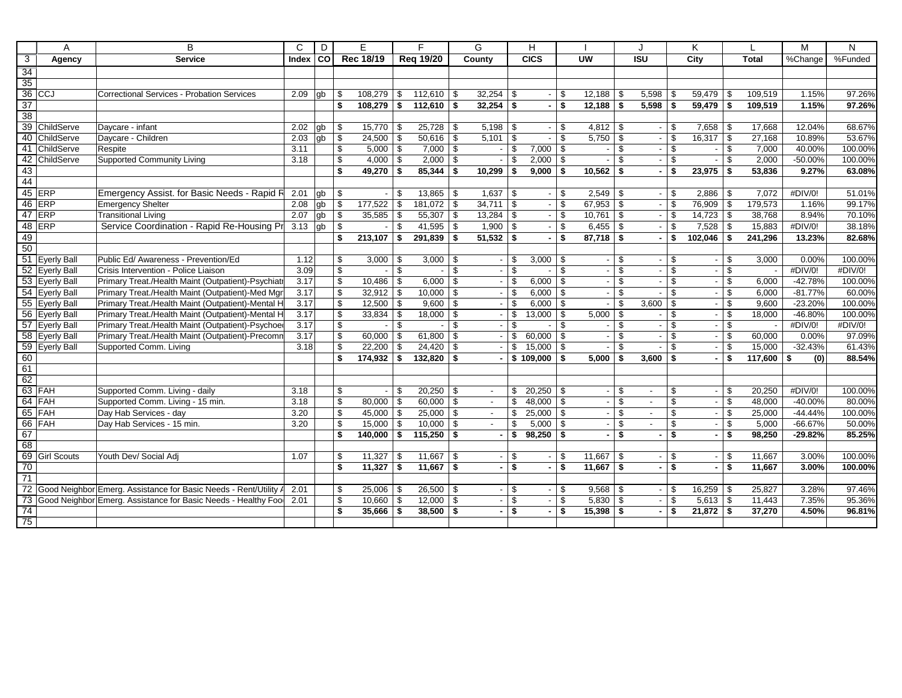|                         | A              | B                                                                   | $\mathsf{C}$ | D  |                 | E             |            | F                             | G                 |             | H                         |                |                          |                      | <b>.</b>                 |                               | K       |              |                 | M                      | N                 |
|-------------------------|----------------|---------------------------------------------------------------------|--------------|----|-----------------|---------------|------------|-------------------------------|-------------------|-------------|---------------------------|----------------|--------------------------|----------------------|--------------------------|-------------------------------|---------|--------------|-----------------|------------------------|-------------------|
| $\overline{\mathbf{3}}$ | Agency         | <b>Service</b>                                                      | Index        | СO |                 | Rec 18/19     |            | Reg 19/20                     | County            |             | <b>CICS</b>               |                | <b>UW</b>                |                      | <b>ISU</b>               |                               | City    |              | <b>Total</b>    | %Change                | %Funded           |
| $\overline{34}$         |                |                                                                     |              |    |                 |               |            |                               |                   |             |                           |                |                          |                      |                          |                               |         |              |                 |                        |                   |
| 35                      |                |                                                                     |              |    |                 |               |            |                               |                   |             |                           |                |                          |                      |                          |                               |         |              |                 |                        |                   |
|                         | $36$ CCJ       | Correctional Services - Probation Services                          | 2.09         | gb | \$              | $108,279$ \$  |            | $112,610$ \$                  | $32,254$ \$       |             |                           | \$             |                          |                      | 5,598                    | \$                            | 59,479  | \$           | 109,519         | 1.15%                  | 97.26%            |
| 37                      |                |                                                                     |              |    | \$              | $108,279$ \$  |            | $112,610$ \$                  | $32,254$ \$       |             |                           | \$             | $12,188$ \$              |                      | 5,598                    | \$                            | 59,479  | \$           | 109,519         | 1.15%                  | 97.26%            |
| 38                      |                |                                                                     |              |    |                 |               |            |                               |                   |             |                           |                |                          |                      |                          |                               |         |              |                 |                        |                   |
|                         | 39 ChildServe  | Daycare - infant                                                    | 2.02         | gb | \$              | $15,770$ \\$  |            |                               |                   |             |                           | \$.            |                          |                      |                          | \$                            | 7,658   | - \$         | 17,668          | 12.04%                 | 68.67%            |
| 40                      | ChildServe     | Daycare - Children                                                  | 2.03         | gb | \$              | $24,500$ \$   |            | $50,616$ \$                   | $5,101$ \\$       |             |                           | \$             | $5,750$ \$               |                      |                          | \$                            | 16,317  | \$           | 27,168          | 10.89%                 | 53.67%            |
| -41                     | ChildServe     | Respite                                                             | 3.11         |    | \$              | $5,000$ \$    |            | $7,000$ \ \$                  |                   | - \$        | $7,000$ \$                |                |                          | $\mathfrak{S}$       |                          | $\mathfrak{S}$                |         | \$           | 7,000           | 40.00%                 | 100.00%           |
| 42                      | ChildServe     | <b>Supported Community Living</b>                                   | 3.18         |    | \$              | 4,000         | $\sqrt{3}$ | 2,000                         | \$                | \$          | 2,000                     | - \$           |                          | \$                   |                          | \$                            |         | \$           | 2,000           | $-50.00%$              | 100.00%           |
| 43                      |                |                                                                     |              |    | \$              | $49,270$ \$   |            | 85,344                        | \$<br>$10,299$ \$ |             | $9,000$ \$                |                | $10,562$ \$              |                      |                          | \$                            | 23,975  | \$           | 53,836          | 9.27%                  | 63.08%            |
| 44                      |                |                                                                     |              |    |                 |               |            |                               |                   |             |                           |                |                          |                      |                          |                               |         |              |                 |                        |                   |
|                         | 45 ERP         | Emergency Assist. for Basic Needs - Rapid R                         | 2.01         | gb | \$              |               | \$         | $13,865$ \ \$                 | $1,637$ \ \$      |             | $\overline{\phantom{0}}$  | \$             | $2,549$ \$               |                      |                          | \$                            | 2,886   | \$           | 7,072           | #DIV/0!                | 51.01%            |
|                         | 46 ERP         | <b>Emergency Shelter</b>                                            | 2.08         | gb | $\overline{\$}$ | $177,522$ \$  |            | $181,072$ \$                  | $34,711$ \\$      |             |                           | -\$            | $67,953$ \$              |                      |                          | \$                            | 76,909  | \$           | 179,573         | 1.16%                  | 99.17%            |
|                         | $47$ ERP       | <b>Transitional Living</b>                                          | 2.07         | gb | \$              | $35,585$ \$   |            | $55,307$ \\$                  | $13,284$ \\$      |             |                           | \$             | $10,761$ \\$             |                      |                          | \$                            | 14,723  | \$           | 38,768          | 8.94%                  | 70.10%            |
|                         | 48 ERP         | Service Coordination - Rapid Re-Housing Pr                          | 3.13         | gb | $\mathfrak s$   |               | \$         | 41,595   \$                   | 1,900             | $\vert$ \$  | $\overline{\phantom{a}}$  | $\mathfrak{L}$ | $6,455$ \$               |                      | $\overline{\phantom{a}}$ | \$                            | 7,528   | $\mathbb{S}$ | 15,883          | #DIV/0!                | 38.18%            |
| 49                      |                |                                                                     |              |    | \$              | 213,107       | l \$       | $291,839$ \$                  | $51,532$ \$       |             |                           | \$             | $87,718$ \$              |                      |                          | \$                            | 102,046 | \$           | 241,296         | 13.23%                 | 82.68%            |
| 50                      |                |                                                                     |              |    |                 |               |            |                               |                   |             |                           |                |                          |                      |                          |                               |         |              |                 |                        |                   |
|                         | 51 Eyerly Ball | Public Ed/ Awareness - Prevention/Ed                                | 1.12         |    | \$              | $3,000$ \ \$  |            | 3,000                         | \$                | - \$        | $3,000$ \ \$              |                | $\blacksquare$           | \$                   |                          | \$                            |         | \$           | 3,000           | 0.00%                  | 100.00%           |
|                         | 52 Eyerly Ball | Crisis Intervention - Police Liaison                                | 3.09         |    | \$              |               | - \$       |                               | \$                | \$          |                           | \$             | $\overline{\phantom{a}}$ | \$                   |                          | \$                            |         | \$           |                 | #DIV/0!                | #DIV/0!           |
|                         | 53 Eyerly Ball | Primary Treat./Health Maint (Outpatient)-Psychiatr                  | 3.17         |    | \$              | $10,486$ \$   |            | 6,000                         | \$                | \$          | $6,000$ \ \$              |                | $\sim$                   | \$                   |                          | \$                            |         | \$           | 6,000           | $-42.78%$              | 100.00%           |
|                         | 54 Eyerly Ball | Primary Treat./Health Maint (Outpatient)-Med Mgr                    | 3.17         |    | \$              | $32,912$ \$   |            | $10,000$ \ \$                 |                   | -\$         | $6,000$ \ \$              |                | $\blacksquare$           | \$                   |                          | \$                            |         | \$           | 6,000           | $-81.77%$              | 60.00%            |
|                         | 55 Eyerly Ball | Primary Treat./Health Maint (Outpatient)-Mental H                   | 3.17         |    | \$              | $12,500$ \$   |            | $9,600$ \$                    |                   | \$          | 6,000                     | <b>S</b>       |                          | $\mathfrak{L}$       | 3,600                    | \$                            |         | \$           | 9.600           | $-23.20%$              | 100.00%           |
|                         | 56 Eyerly Ball | Primary Treat./Health Maint (Outpatient)-Mental H                   | 3.17         |    | \$              | $33,834$ \$   |            | $18,000$ \$                   |                   | \$          | $13,000$ \ \$             |                | $5,000$ \$               |                      |                          | \$                            |         | \$           | 18,000          | $-46.80%$              | 100.00%           |
|                         | 57 Eyerly Ball | Primary Treat./Health Maint (Outpatient)-Psychoed                   | 3.17         |    | \$              |               | \$         |                               | \$                | \$          |                           | \$             |                          | \$                   |                          | \$                            |         | \$           |                 | #DIV/0!                | #DIV/0!           |
|                         | 58 Eyerly Ball | Primary Treat./Health Maint (Outpatient)-Precomm                    | 3.17         |    | \$              | $60,000$ \ \$ |            | $61,800$ \ \$                 |                   | \$          | $60,000$ \ \$             |                | $\sim$                   | \$                   |                          | \$                            |         | \$           | 60,000          | 0.00%                  | 97.09%            |
|                         | 59 Eyerly Ball | Supported Comm. Living                                              | 3.18         |    | \$              | $22,200$ \$   |            | 24,420                        | \$                | - \$        | $15,000$ \ \$             |                | $\sim$                   | \$                   |                          | \$                            |         | \$           | 15.000          | $-32.43%$              | 61.43%            |
| 60                      |                |                                                                     |              |    | \$              | $174,932$ \$  |            | 132,820 \$                    |                   |             | $$109,000$ \\$            |                | $5,000$ \$               |                      | 3.600                    | \$                            |         | \$           | 117,600         | (0)<br>-\$             | 88.54%            |
| $\overline{61}$         |                |                                                                     |              |    |                 |               |            |                               |                   |             |                           |                |                          |                      |                          |                               |         |              |                 |                        |                   |
| 62                      |                |                                                                     |              |    |                 |               |            |                               |                   |             |                           |                |                          |                      |                          |                               |         |              |                 |                        |                   |
|                         | 63 FAH         | Supported Comm. Living - daily                                      | 3.18         |    | \$              |               | \$         | $20,250$ \ \$                 | $\sim$            | \$          | $20,250$ \ \$             |                |                          | \$                   | $\overline{\phantom{a}}$ | \$                            |         | \$           | 20,250          | #DIV/0!                | 100.00%           |
|                         | $64$ FAH       | Supported Comm. Living - 15 min.                                    | 3.18         |    | \$              | $80,000$ \ \$ |            | $60,000$   \$                 | $\sim$            | \$          | $48,000$ \ \$             |                | $\sim$                   | \$                   | $\sim$                   | \$                            |         | \$           | 48,000          | $-40.00%$              | 80.00%            |
|                         | 65 FAH         | Day Hab Services - day<br>Dav Hab Services - 15 min.                | 3.20         |    | \$              | $45,000$ \ \$ |            | $25,000$ \$                   | $\sim$            | \$          | $25,000$ \ \$             |                | $\sim$                   | \$                   | $\overline{\phantom{a}}$ | \$<br>$\overline{\mathbf{s}}$ |         | \$           | 25,000          | $-44.44%$<br>$-66.67%$ | 100.00%<br>50.00% |
| 67                      | 66 FAH         |                                                                     | 3.20         |    | \$<br>\$        | $15,000$ \ \$ |            | $10,000$ \ \$<br>$115,250$ \$ |                   | \$<br>- \$  | $5,000$ \$<br>$98,250$ \$ |                |                          | $\mathfrak{S}$<br>\$ |                          | \$                            |         | \$<br>\$     | 5,000<br>98,250 | $-29.82%$              | 85.25%            |
| 68                      |                |                                                                     |              |    |                 | $140,000$ \$  |            |                               |                   |             |                           |                | $\sim$                   |                      | ٠                        |                               |         |              |                 |                        |                   |
|                         | 69 Girl Scouts | Youth Dev/ Social Adj                                               |              |    |                 | 11,327        |            | $11,667$ \ \$                 |                   |             |                           | \$             | $11,667$ \$              |                      |                          |                               |         | \$           | 11,667          | 3.00%                  | 100.00%           |
| 70                      |                |                                                                     | 1.07         |    | \$<br>\$        | $11,327$ \$   | - \$       | $11,667$ \$                   |                   | -\$<br>- \$ |                           | <b>S</b>       | $11,667$ \$              |                      | $\sim$                   | \$<br>$\mathbf{s}$            |         | Ŝ.           | 11,667          | 3.00%                  | 100.00%           |
| $\overline{71}$         |                |                                                                     |              |    |                 |               |            |                               |                   |             | $\blacksquare$            |                |                          |                      |                          |                               |         |              |                 |                        |                   |
|                         |                | 72 Good Neighbor Emerg. Assistance for Basic Needs - Rent/Utility A | 2.01         |    | \$              | $25,006$ \$   |            | $26,500$ \$                   |                   | \$          |                           | \$             | $9,568$ \$               |                      |                          | \$                            | 16,259  | \$           | 25,827          | 3.28%                  | 97.46%            |
| 73                      |                | Good Neighbor Emerg. Assistance for Basic Needs - Healthy Food      | 2.01         |    | \$              | $10,660$ \$   |            | $12,000$ \ \$                 |                   | \$          | $\sim$                    | \$.            | $5,830$ \$               |                      |                          | \$                            | 5,613   | \$           | 11,443          | 7.35%                  | 95.36%            |
| 74                      |                |                                                                     |              |    | \$              | $35,666$ \$   |            | $38,500$ \ \$                 |                   | \$          |                           | \$             | $15,398$ \$              |                      |                          | \$                            | 21,872  | \$           | 37,270          | 4.50%                  | 96.81%            |
| 75                      |                |                                                                     |              |    |                 |               |            |                               |                   |             |                           |                |                          |                      |                          |                               |         |              |                 |                        |                   |
|                         |                |                                                                     |              |    |                 |               |            |                               |                   |             |                           |                |                          |                      |                          |                               |         |              |                 |                        |                   |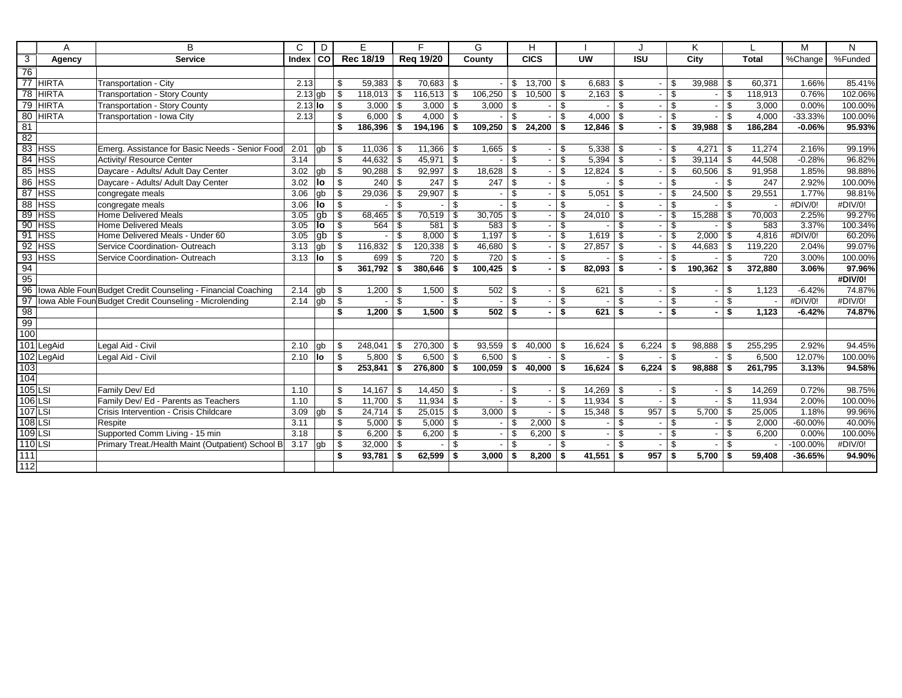|                 | A            | B                                                            | C         | D     |               | E         |                | F                |     | G       |                | н             |      |                          |      |            |                         | Κ       |     |         | M         | N       |
|-----------------|--------------|--------------------------------------------------------------|-----------|-------|---------------|-----------|----------------|------------------|-----|---------|----------------|---------------|------|--------------------------|------|------------|-------------------------|---------|-----|---------|-----------|---------|
| 3               | Agency       | <b>Service</b>                                               | Index     | l col |               | Rec 18/19 |                | <b>Rea 19/20</b> |     | County  |                | <b>CICS</b>   |      | <b>UW</b>                |      | <b>ISU</b> |                         | City    |     | Total   | %Change   | %Funded |
| $\overline{76}$ |              |                                                              |           |       |               |           |                |                  |     |         |                |               |      |                          |      |            |                         |         |     |         |           |         |
|                 | 77 HIRTA     | Transportation - City                                        | 2.13      |       | \$            | 59,383    | - \$           | 70,683           | -\$ |         | \$             | 13,700        | - \$ | $6,683$ \$               |      |            | \$                      | 39,988  | \$  | 60,371  | 1.66%     | 85.41%  |
| $\overline{78}$ | <b>HIRTA</b> | <b>Transportation - Story County</b>                         | $2.13$ gb |       | \$            | 118,013   | - \$           | 116,513          | \$  | 106,250 | \$             | 10,500        | - \$ |                          |      |            | $\mathfrak{S}$          |         | \$  | 118,913 | 0.76%     | 102.06% |
| $\overline{79}$ | <b>HIRTA</b> | <b>Transportation - Story County</b>                         | $2.13$ lo |       | \$            | 3,000     | - \$           | 3,000            | \$  | 3,000   | - \$           |               | \$   |                          | \$   |            | \$                      |         | \$  | 3,000   | 0.00%     | 100.00% |
| 80              | <b>HIRTA</b> | Transportation - Iowa City                                   | 2.13      |       | \$            | 6,000     | - \$           | 4,000            | \$  |         | \$             |               | \$.  | $4,000$ \ \$             |      |            | \$                      |         | \$  | 4,000   | $-33.33%$ | 100.00% |
| 81              |              |                                                              |           |       | \$            | 186,396   | - \$           | 194,196          | \$  | 109,250 | - \$           | 24,200        | - \$ | $12,846$ \$              |      |            | \$                      | 39,988  | \$  | 186,284 | $-0.06%$  | 95.93%  |
| 82              |              |                                                              |           |       |               |           |                |                  |     |         |                |               |      |                          |      |            |                         |         |     |         |           |         |
| $\overline{83}$ | <b>HSS</b>   | Emerg. Assistance for Basic Needs - Senior Food              | 2.01      | db    | \$            | 11,036    | - \$           | 11,366           | \$  | 1,665   | l \$           |               | \$   |                          |      |            | \$                      | 4.271   | \$  | 11.274  | 2.16%     | 99.19%  |
| 84              | <b>HSS</b>   | Activity/ Resource Center                                    | 3.14      |       | \$            | 44,632    | - \$           | 45,971           | \$  |         | \$             |               | \$   | $5,394$ \ \$             |      |            | \$                      | 39,114  | \$  | 44,508  | $-0.28%$  | 96.82%  |
| 85              | <b>HSS</b>   | Daycare - Adults/ Adult Day Center                           | 3.02      | gb    | \$            | 90,288    | - \$           | 92,997           | \$  | 18,628  | -\$            |               | \$   | $12,824$ \$              |      |            | \$                      | 60,506  | \$  | 91,958  | 1.85%     | 98.88%  |
| 86              | <b>HSS</b>   | Daycare - Adults/ Adult Day Center                           | 3.02      | lo    | \$            | 240       | -\$            | 247              | \$  | 247     | - \$           |               | \$.  |                          | \$   |            | $\mathfrak{S}$          |         | \$  | 247     | 2.92%     | 100.00% |
| 87              | <b>HSS</b>   | congregate meals                                             | 3.06      | gb    | \$            | 29,036    | - \$           | 29,907           | \$  |         | $\mathfrak{L}$ |               | \$.  | 5,051                    | \$   |            | \$                      | 24,500  | \$  | 29,551  | 1.77%     | 98.81%  |
| 88              | <b>HSS</b>   | congregate meals                                             | 3.06      | lo    | $\mathfrak s$ |           | $\mathfrak{s}$ |                  | \$  |         | \$             |               | \$   |                          | \$   |            | \$                      |         | \$  |         | #DIV/0!   | #DIV/0! |
| 89              | <b>HSS</b>   | Home Delivered Meals                                         | 3.05      | qb    | \$            | 68.465    | \$             | 70,519           | \$  | 30,705  | -\$            |               | \$.  | $24,010$ \$              |      |            | \$                      | 15,288  | \$  | 70.003  | 2.25%     | 99.27%  |
| 90              | <b>HSS</b>   | Home Delivered Meals                                         | 3.05      | llo   | \$            | 564       | - \$           | 581              | \$  | 583     | -\$            |               | \$.  |                          | \$   |            | \$                      |         | \$. | 583     | 3.37%     | 100.34% |
| 91              | <b>HSS</b>   | Home Delivered Meals - Under 60                              | 3.05      | lab   | \$            |           | \$             | 8,000            | \$  | 1,197   | -\$            |               | \$.  | $1,619$ \$               |      |            | \$                      | 2,000   | \$  | 4,816   | #DIV/0!   | 60.20%  |
| 92              | <b>HSS</b>   | Service Coordination- Outreach                               | 3.13      | gb    | \$            | 116,832   | \$             | 120,338          | \$  | 46,680  | - \$           |               | \$   | $27,857$ \$              |      |            | \$                      | 44,683  | \$  | 119,220 | 2.04%     | 99.07%  |
| 93              | <b>HSS</b>   | Service Coordination- Outreach                               | 3.13      | llo   | \$            | 699       | - \$           | 720              | \$  | 720     | -\$            |               | \$   |                          | \$   |            | $\mathbf{\$}$           |         | \$  | 720     | 3.00%     | 100.00% |
| 94              |              |                                                              |           |       | \$            | 361,792   | - \$           | 380,646          | \$  | 100.425 | <b>S</b>       |               | \$   | $82.093$ \$              |      |            | \$                      | 190,362 | \$  | 372,880 | 3.06%     | 97.96%  |
| 95              |              |                                                              |           |       |               |           |                |                  |     |         |                |               |      |                          |      |            |                         |         |     |         |           | #DIV/0! |
| 96              |              | Iowa Able Foun Budget Credit Counseling - Financial Coaching | 2.14      | qb    | \$            | 1,200     | - \$           | 1,500            | -\$ | 502     | l S            |               | \$   | $621 \quad$ \$           |      |            | \$                      |         | \$  | 1,123   | $-6.42%$  | 74.87%  |
| 97              |              | Iowa Able Foun Budget Credit Counseling - Microlending       | 2.14      | gb    | \$            |           | -S             |                  | \$  |         | \$             |               | \$   |                          | \$   |            | \$                      |         | \$  |         | #DIV/0!   | #DIV/0! |
| 98              |              |                                                              |           |       | \$            | 1,200     | - \$           | 1,500            | \$  | 502     | - \$           |               | \$   | $621$ \$                 |      |            | \$                      |         | \$  | 1,123   | $-6.42%$  | 74.87%  |
| 99              |              |                                                              |           |       |               |           |                |                  |     |         |                |               |      |                          |      |            |                         |         |     |         |           |         |
| 100             |              |                                                              |           |       |               |           |                |                  |     |         |                |               |      |                          |      |            |                         |         |     |         |           |         |
|                 | 101 LegAid   | Legal Aid - Civil                                            | 2.10      | gb    | \$            | 248,041   | -\$            | 270,300          | \$  | 93,559  | <b>\$</b>      | $40,000$ \ \$ |      | $16,624$ \ \$            |      | 6,224      | \$                      | 98,888  | \$  | 255,295 | 2.92%     | 94.45%  |
|                 | 102 LegAid   | Legal Aid - Civil                                            | 2.10      | llo   | \$            | 5,800     | -\$            | 6,500            | \$  | 6,500   | <b>S</b>       |               | \$   | $\overline{\phantom{a}}$ | l \$ |            | $\mathbf{\hat{s}}$      |         | \$  | 6,500   | 12.07%    | 100.00% |
| 103             |              |                                                              |           |       | \$            | 253,841   | \$             | 276,800          | \$  | 100,059 | l \$           | 40,000        | - \$ | $16,624$ \$              |      | 6.224      | \$                      | 98,888  | \$  | 261,795 | 3.13%     | 94.58%  |
| 104             |              |                                                              |           |       |               |           |                |                  |     |         |                |               |      |                          |      |            |                         |         |     |         |           |         |
| $105$ LSI       |              | Family Dev/ Ed                                               | 1.10      |       | \$            | 14,167    | -\$            | 14,450           | \$  |         | \$             |               | \$   | $14,269$ \ \$            |      |            | \$                      |         | ፍ   | 14,269  | 0.72%     | 98.75%  |
| 106 LSI         |              | Family Dev/ Ed - Parents as Teachers                         | 1.10      |       | \$            | 11,700    | -\$            | 11,934           | \$  |         | \$             |               | £.   |                          |      |            | $\overline{\mathbb{S}}$ |         | \$  | 11,934  | 2.00%     | 100.00% |
| 107 LSI         |              | Crisis Intervention - Crisis Childcare                       | 3.09      | gb    | \$            | 24,714    | l \$           | 25,015           | \$  | 3,000   | - \$           |               | \$   |                          |      | 957        | \$                      | 5,700   | \$  | 25,005  | 1.18%     | 99.96%  |
| 108 LSI         |              | Respite                                                      | 3.11      |       | \$            | 5,000     | l \$           | 5,000            | \$  |         | \$             | 2,000         | - \$ |                          | \$   |            | \$                      |         | \$  | 2,000   | $-60.00%$ | 40.00%  |
| $109$ LSI       |              | Supported Comm Living - 15 min                               | 3.18      |       | \$            | 6,200     | -\$            | 6,200            | \$  |         | \$             | 6,200         | \$   |                          | \$   |            | \$                      |         | \$  | 6,200   | 0.00%     | 100.00% |
| $110$ LSI       |              | Primary Treat./Health Maint (Outpatient) School B            | 3.17      | gb    | \$            | 32,000    | -\$            |                  | \$  |         | \$             |               | \$   |                          | \$   |            | \$                      |         | \$  |         | -100.00%  | #DIV/0! |
| 111             |              |                                                              |           |       | \$            | 93,781    | -S             | 62,599           | \$  | 3,000   | - \$           | 8,200         | \$   | 41,551                   | \$   | 957        | \$                      | 5,700   | \$  | 59,408  | $-36.65%$ | 94.90%  |
| 112             |              |                                                              |           |       |               |           |                |                  |     |         |                |               |      |                          |      |            |                         |         |     |         |           |         |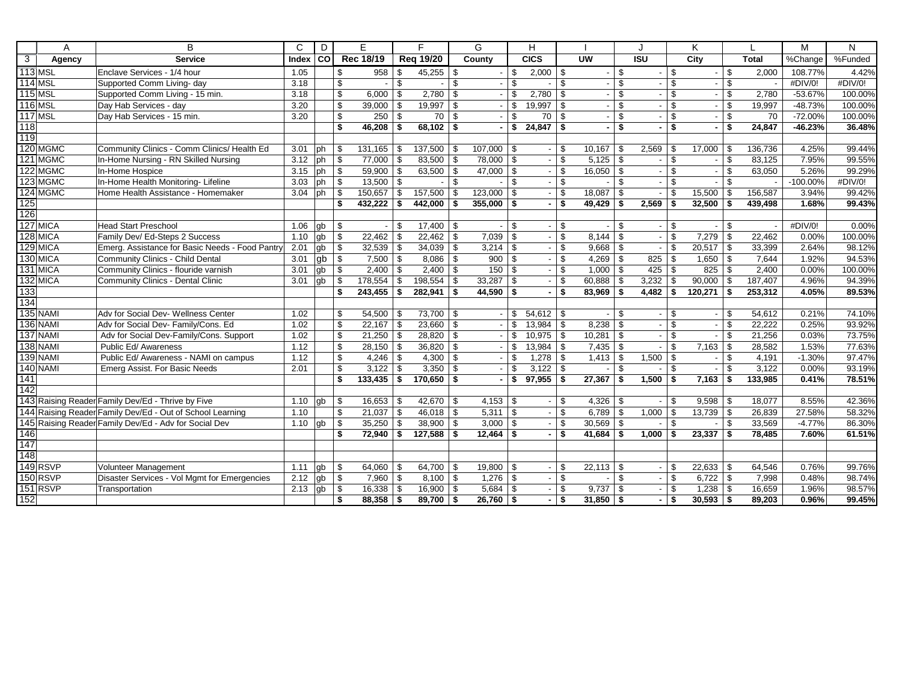|                | A               | B                                                         | $\mathsf{C}$ | D           |                         | E                        |                         | F                    |                         | G                    |                          | н             |      |                          |          | J                        |                          | K           |                         |              | M           | N       |
|----------------|-----------------|-----------------------------------------------------------|--------------|-------------|-------------------------|--------------------------|-------------------------|----------------------|-------------------------|----------------------|--------------------------|---------------|------|--------------------------|----------|--------------------------|--------------------------|-------------|-------------------------|--------------|-------------|---------|
| $\overline{3}$ | Agency          | <b>Service</b>                                            | Index CO     |             |                         | Rec 18/19                |                         | <b>Reg 19/20</b>     |                         | County               |                          | CICS          |      | $\overline{\mathsf{uw}}$ |          | $\overline{ISU}$         |                          | City        |                         | <b>Total</b> | %Change     | %Funded |
|                | <b>113 MSL</b>  | Enclave Services - 1/4 hour                               | 1.05         |             | \$                      | 958                      | \$                      | $45,255$ \ \$        |                         |                      | \$                       | $2,000$ \ \$  |      |                          | \$       |                          | \$                       |             | \$                      | 2,000        | 108.77%     | 4.42%   |
|                | <b>114 MSL</b>  | Supported Comm Living- day                                | 3.18         |             | $\overline{\mathbb{S}}$ | $\overline{\phantom{a}}$ | $\overline{\mathbb{S}}$ |                      | $\overline{\mathbb{S}}$ |                      | $\overline{\mathcal{S}}$ |               | \$   |                          | \$       |                          | $\overline{\mathcal{S}}$ |             | $\overline{\mathbb{S}}$ |              | #DIV/0!     | #DIV/0! |
|                | <b>115 MSL</b>  | Supported Comm Living - 15 min.                           | 3.18         |             | \$                      | 6,000                    | \$                      | 2,780                | \$                      |                      | \$                       | 2,780         | \$   |                          | \$       |                          | \$                       |             | \$                      | 2,780        | $-53.67%$   | 100.00% |
|                | <b>116 MSL</b>  | Day Hab Services - day                                    | 3.20         |             | \$                      | 39,000                   | -\$                     | 19,997               | \$                      |                      | \$                       | 19,997        | \$   |                          | \$       | $\overline{\phantom{0}}$ | \$                       |             | \$                      | 19.997       | $-48.73%$   | 100.00% |
|                | <b>117 MSL</b>  | Day Hab Services - 15 min.                                | 3.20         |             | \$                      | 250                      | \$                      | 70                   | \$                      |                      | \$                       | 70            | \$   |                          | \$       |                          | \$                       |             | \$                      | 70           | $-72.00%$   | 100.00% |
| 118            |                 |                                                           |              |             | \$                      | 46,208                   | \$                      | $68.102$ \ \$        |                         |                      | \$                       | $24,847$ \$   |      |                          | \$       | ٠.                       | \$                       |             | \$                      | 24,847       | $-46.23%$   | 36.48%  |
| 119            |                 |                                                           |              |             |                         |                          |                         |                      |                         |                      |                          |               |      |                          |          |                          |                          |             |                         |              |             |         |
|                | 120 MGMC        | Community Clinics - Comm Clinics/ Health Ed               | 3.01         | <b>l</b> ph | \$                      | 131,165                  | -\$                     | 137,500              | \$                      | 107,000              | <b>S</b>                 |               | - \$ | 10,167                   | -\$      | 2,569                    | \$                       | 17,000      | \$                      | 136,736      | 4.25%       | 99.44%  |
|                | 121 MGMC        | In-Home Nursing - RN Skilled Nursing                      | 3.12         | ph          | \$                      | 77,000                   | \$                      | 83,500               | \$                      | 78,000               | -\$                      |               | \$   |                          |          |                          | \$                       |             | \$                      | 83,125       | 7.95%       | 99.55%  |
|                | 122 MGMC        | In-Home Hospice                                           | 3.15         | ph          | \$                      | 59,900                   | \$                      | $63,500$ \ \$        |                         | 47,000 $\frac{1}{9}$ |                          |               | -\$  | $16,050$ \$              |          |                          | \$                       |             | \$                      | 63,050       | 5.26%       | 99.29%  |
|                | 123 MGMC        | In-Home Health Monitoring-Lifeline                        | 3.03         | ph          | \$                      | 13,500                   | $\mathbb{S}$            |                      | \$                      |                      | \$                       | $\sim$        | \$   |                          | \$       |                          | \$                       |             | \$                      |              | $-100.00\%$ | #DIV/0! |
|                | 124 MGMC        | Home Health Assistance - Homemaker                        | 3.04         | ph          | \$                      | 150,657                  | \$                      | $157,500$ \$         |                         | 123,000              | <b>S</b>                 | $\sim$        | -\$  | 18,087                   | \$       |                          | \$                       | 15,500      | \$                      | 156,587      | 3.94%       | 99.42%  |
| 125            |                 |                                                           |              |             | \$                      | 432,222                  | - \$                    | 442,000              | \$                      | $355,000$ \$         |                          |               | \$   | 49,429                   | - \$     | 2,569                    | \$                       | 32,500      | \$                      | 439,498      | 1.68%       | 99.43%  |
| 126            |                 |                                                           |              |             |                         |                          |                         |                      |                         |                      |                          |               |      |                          |          |                          |                          |             |                         |              |             |         |
|                | 127 MICA        | Head Start Preschool                                      | 1.06         | gb          | \$                      |                          | \$                      | $17,400$ \ \$        |                         |                      | \$                       |               | \$   |                          | \$       |                          | \$                       |             | \$                      |              | #DIV/0!     | 0.00%   |
|                | 128 MICA        | Family Dev/ Ed-Steps 2 Success                            | 1.10         | q           | \$                      | 22,462                   | \$                      | $22,462$ \ \$        |                         | 7,039                | \$                       |               | \$   | 8,144                    | \$       |                          | \$                       | 7,279       | \$                      | 22,462       | 0.00%       | 100.00% |
|                | 129 MICA        | Emerg. Assistance for Basic Needs - Food Pantry           | 2.01         | gb          | \$                      | 32,539                   | -\$                     | $34,039$ \ \$        |                         | 3,214                | - \$                     |               | \$   | $9,668$ \$               |          |                          | \$                       | 20,517      | \$                      | 33,399       | 2.64%       | 98.12%  |
|                | 130 MICA        | Community Clinics - Child Dental                          | 3.01         | gb          | \$                      | 7,500                    | \$                      |                      |                         | 900                  | \$                       |               | \$   | 4,269                    | \$       | 825                      | \$                       |             |                         | 7,644        | 1.92%       | 94.53%  |
|                | 131 MICA        | Community Clinics - flouride varnish                      | 3.01         | gb          | \$                      | 2,400                    | \$                      | $2,400$ \$           |                         | 150                  | \$                       |               | \$   | $1,000$ \$               |          | 425                      | \$                       | 825         | \$                      | 2,400        | 0.00%       | 100.00% |
|                | 132 MICA        | Community Clinics - Dental Clinic                         | 3.01         | gb          | \$                      | 178,554                  | \$                      | 198,554              | \$                      | 33,287               | \$                       |               | \$   | 60,888                   | - \$     | 3,232                    | \$                       | 90,000      | \$                      | 187,407      | 4.96%       | 94.39%  |
| 133            |                 |                                                           |              |             | \$                      | 243,455                  | \$                      | 282,941              | \$                      | 44,590               | \$                       |               | \$   | $83,969$ \$              |          | 4,482                    | \$                       | 120,271     | \$                      | 253,312      | 4.05%       | 89.53%  |
| 134            |                 |                                                           |              |             |                         |                          |                         |                      |                         |                      |                          |               |      |                          |          |                          |                          |             |                         |              |             |         |
|                | 135 NAMI        | Adv for Social Dev- Wellness Center                       | 1.02         |             | \$                      | 54,500                   | - \$                    | $73,700$ \$          |                         |                      | \$                       |               |      |                          | \$       |                          | \$                       |             | \$                      | 54,612       | 0.21%       | 74.10%  |
|                | <b>136 NAMI</b> | Adv for Social Dev- Family/Cons. Ed                       | 1.02         |             | \$                      | 22,167                   | \$                      | 23,660               | \$                      |                      | \$                       | 13,984        | \$   | 8,238                    | \$       |                          | \$                       |             | \$                      | 22,222       | 0.25%       | 93.92%  |
|                | 137 NAMI        | Adv for Social Dev-Family/Cons. Support                   | 1.02         |             | \$                      | $21,250$ \$              |                         | $28,820$ \$          |                         | $\sim$               | \$                       | $10,975$ \ \$ |      | 10,281                   | <b>S</b> |                          | \$                       |             | \$                      | 21,256       | 0.03%       | 73.75%  |
|                | 138 NAMI        | Public Ed/ Awareness                                      | 1.12         |             | \$                      | 28,150                   | -\$                     | $36,820$ \ \$        |                         |                      | \$                       | $13,984$ \$   |      | 7,435                    | \$       |                          | \$                       | 7,163       | \$                      | 28,582       | 1.53%       | 77.63%  |
|                | <b>139 NAMI</b> | Public Ed/ Awareness - NAMI on campus                     | 1.12         |             | \$                      | $4,246$ \$               |                         |                      |                         | $\sim$               | -\$                      |               |      | $1,413$ \$               |          | 1,500                    | \$                       |             | \$                      | 4,191        | $-1.30%$    | 97.47%  |
|                | <b>140 NAMI</b> | Emerg Assist. For Basic Needs                             | 2.01         |             | \$                      | 3,122                    | \$                      | $3,350$ \$           |                         |                      | \$                       | $3,122$ \$    |      |                          | \$       |                          | \$                       |             | \$                      | 3,122        | 0.00%       | 93.19%  |
| 141            |                 |                                                           |              |             | \$                      | $133,435$ \$             |                         | $170,650$ \$         |                         |                      | \$                       | $97,955$ \$   |      | 27,367                   | - \$     | $1,500$ \$               |                          | 7,163       | <b>S</b>                | 133,985      | 0.41%       | 78.51%  |
| 142            |                 |                                                           |              |             |                         |                          |                         |                      |                         |                      |                          |               |      |                          |          |                          |                          |             |                         |              |             |         |
|                |                 | 143 Raising Reader Family Dev/Ed - Thrive by Five         | 1.10         | gb          | \$                      | 16,653                   | - \$                    | 42,670 $\frac{1}{3}$ |                         |                      |                          |               | - \$ |                          |          |                          | \$                       |             |                         | 18,077       | 8.55%       | 42.36%  |
|                |                 | 144 Raising Reader Family Dev/Ed - Out of School Learning | 1.10         |             | \$                      | 21,037                   | \$                      | $46,018$ \\$         |                         | 5,311                | \$                       | $\sim$        | \$   | $6,789$ \$               |          | 1,000                    | \$                       |             |                         | 26,839       | 27.58%      | 58.32%  |
|                |                 | 145 Raising Reader Family Dev/Ed - Adv for Social Dev     | 1.10         | gb          | \$                      | 35,250                   | \$                      | $38,900$ \ \$        |                         | 3,000                | <b>S</b>                 |               | -\$  | $30,569$ \$              |          |                          | \$                       |             | \$                      | 33,569       | $-4.77%$    | 86.30%  |
| 146            |                 |                                                           |              |             | \$                      | 72,940                   | \$                      | $127,588$ \ \$       |                         | 12,464               | - \$                     |               | - \$ | $41,684$ \$              |          | 1,000                    | \$                       | $23,337$ \$ |                         | 78,485       | 7.60%       | 61.51%  |
| 147            |                 |                                                           |              |             |                         |                          |                         |                      |                         |                      |                          |               |      |                          |          |                          |                          |             |                         |              |             |         |
| 148            |                 |                                                           |              |             |                         |                          |                         |                      |                         |                      |                          |               |      |                          |          |                          |                          |             |                         |              |             |         |
|                | 149 RSVP        | Volunteer Management                                      | 1.11         | gb          | \$                      | 64,060                   | -\$                     | 64,700 $\frac{1}{3}$ |                         | 19,800               | \$                       |               | \$   | 22,113                   | \$       |                          | \$                       |             |                         | 64,546       | 0.76%       | 99.76%  |
|                | 150 RSVP        | Disaster Services - Vol Mgmt for Emergencies              | 2.12         | gb          | \$                      | 7,960                    | - \$                    | $8,100$ \ \$         |                         | 1,276                | -\$                      | $\sim$        | -\$  |                          | \$       | $\blacksquare$           | \$                       |             |                         | 7,998        | 0.48%       | 98.74%  |
|                | 151 RSVP        | Transportation                                            | 2.13         | gb          | \$                      | 16,338                   | \$                      | 16,900               | \$                      | 5,684                | \$                       |               | \$   | 9,737                    | \$       |                          | \$                       | 1,238       | \$                      | 16,659       | 1.96%       | 98.57%  |
| 152            |                 |                                                           |              |             | \$                      | 88,358                   | -\$                     | 89,700               | \$                      | 26,760               | \$                       | $\sim$        | -\$  | $31,850$ \$              |          | $\blacksquare$           | \$                       | 30,593      | \$                      | 89.203       | 0.96%       | 99.45%  |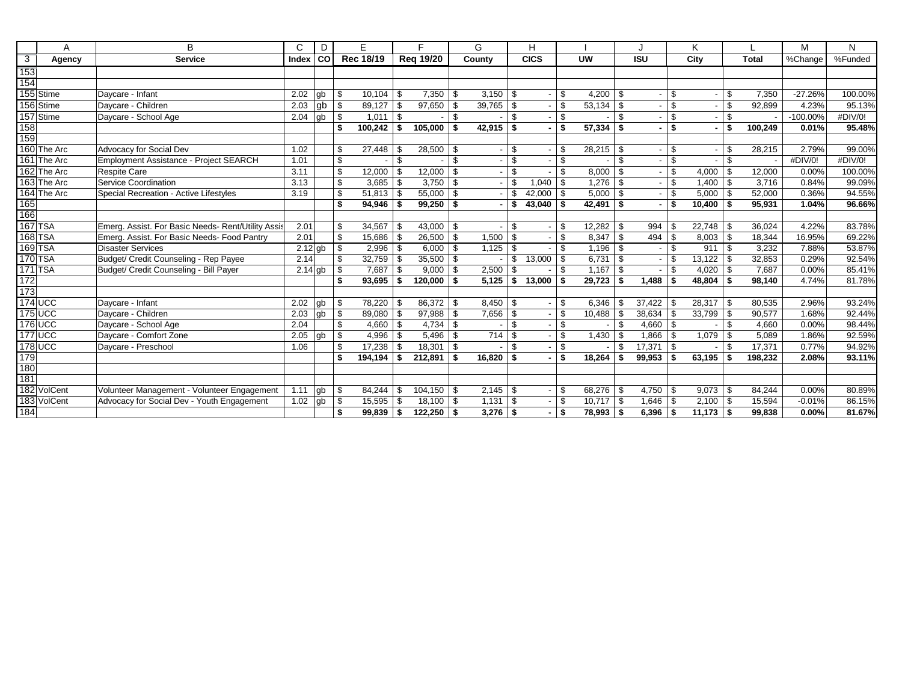|                 | A              | B                                                  | C                    | D     | E.                 |          | F                |      | G             |              | H             |      |               |              |            |    | K.     |     |              | M           | N       |
|-----------------|----------------|----------------------------------------------------|----------------------|-------|--------------------|----------|------------------|------|---------------|--------------|---------------|------|---------------|--------------|------------|----|--------|-----|--------------|-------------|---------|
| $\overline{3}$  | Agency         | <b>Service</b>                                     | Index                | l col | Rec 18/19          |          | <b>Reg 19/20</b> |      | County        |              | <b>CICS</b>   |      | <b>UW</b>     |              | <b>ISU</b> |    | City   |     | <b>Total</b> | %Change     | %Funded |
| 153<br>154      |                |                                                    |                      |       |                    |          |                  |      |               |              |               |      |               |              |            |    |        |     |              |             |         |
|                 |                |                                                    |                      |       |                    |          |                  |      |               |              |               |      |               |              |            |    |        |     |              |             |         |
|                 | 155 Stime      | Davcare - Infant                                   | 2.02                 | gb    | \$<br>10,104       | l \$     | 7,350            | \$   |               |              |               | \$   | $4,200$ \ \$  |              |            | \$ |        | \$  | 7,350        | $-27.26%$   | 100.00% |
|                 | 156 Stime      | Davcare - Children                                 | 2.03                 | gb    | \$<br>89,127       | l \$     | 97,650           | \$   | $39,765$ \ \$ |              |               | \$   |               |              |            | \$ |        | \$  | 92,899       | 4.23%       | 95.13%  |
|                 | 157 Stime      | Daycare - School Age                               | 2.04                 | gb    | \$<br>1,011        | l \$     |                  | \$   |               | -S           |               | \$   |               | \$           |            | \$ |        | \$  |              | $-100.00\%$ | #DIV/0! |
| 158             |                |                                                    |                      |       | \$<br>$100,242$ \$ |          | 105,000          | \$   | $42,915$ \$   |              |               | \$   | $57,334$ \$   |              |            | \$ |        | \$  | 100,249      | 0.01%       | 95.48%  |
| $\frac{1}{159}$ |                |                                                    |                      |       |                    |          |                  |      |               |              |               |      |               |              |            |    |        |     |              |             |         |
|                 | 160 The Arc    | <b>Advocacy for Social Dev</b>                     | 1.02                 |       | \$<br>27,448       | - \$     | 28,500           | -S   |               | -\$          |               | \$.  | $28,215$ \$   |              |            | \$ |        | \$  | 28,215       | 2.79%       | 99.00%  |
|                 | 161 The Arc    | Employment Assistance - Project SEARCH             | 1.01                 |       | \$                 | \$       |                  | \$   |               | \$           |               | \$   |               | \$           |            | \$ |        | \$  |              | #DIV/0!     | #DIV/0! |
|                 | 162 The Arc    | <b>Respite Care</b>                                | 3.11                 |       | \$<br>12,000       | l \$     | 12,000           | \$   |               | \$           |               | \$   | $8,000$ \$    |              |            | \$ | 4,000  | \$  | 12,000       | 0.00%       | 100.00% |
|                 | 163 The Arc    | Service Coordination                               | 3.13                 |       | \$<br>3,685        | l \$     | 3,750            | \$   |               | \$           | 1,040         | \$   |               |              |            | \$ | 1,400  | \$  | 3,716        | 0.84%       | 99.09%  |
|                 | 164 The Arc    | Special Recreation - Active Lifestyles             | 3.19                 |       | \$<br>51,813       | l \$     | 55,000           | \$   |               | \$           | 42,000        | \$   | $5,000$ \$    |              |            | \$ | 5,000  | \$  | 52,000       | 0.36%       | 94.55%  |
| 165<br>166      |                |                                                    |                      |       | \$<br>94,946       |          | 99,250           | \$   |               | \$           | $43,040$ \$   |      | $42,491$ \$   |              |            | \$ | 10,400 | \$  | 95,931       | 1.04%       | 96.66%  |
|                 |                |                                                    |                      |       |                    |          |                  |      |               |              |               |      |               |              |            |    |        |     |              |             |         |
|                 | <b>167 TSA</b> | Emerg. Assist. For Basic Needs- Rent/Utility Assis | 2.01                 |       | \$<br>34,567       | - \$     | 43,000           | \$   |               | -\$          |               | \$   |               |              | 994        | \$ | 22,748 |     | 36,024       | 4.22%       | 83.78%  |
|                 | <b>168 TSA</b> | Emerg. Assist. For Basic Needs- Food Pantry        | 2.01                 |       | \$<br>15,686       | l \$     | 26,500           | \$   | 1,500         | l \$         |               | \$   |               |              | 494        | Ŝ. | 8,003  | \$. | 18,344       | 16.95%      | 69.22%  |
|                 | 169 TSA        | <b>Disaster Services</b>                           | $\overline{2.12}$ gb |       | \$<br>2,996        | l \$     | 6,000            | -\$  | 1,125         | l \$         |               | \$   | $1,196$ \$    |              |            | \$ | 911    | \$  | 3,232        | 7.88%       | 53.87%  |
|                 | 170 TSA        | Budget/ Credit Counseling - Rep Payee              | 2.14                 |       | \$<br>32,759       | l \$     | 35,500           | \$   |               | \$           | 13,000        | \$   | $6,731$ \ \$  |              |            | \$ | 13,122 | \$  | 32,853       | 0.29%       | 92.54%  |
|                 | $171$ TSA      | Budget/ Credit Counseling - Bill Payer             | $2.14$ gb            |       | \$<br>7.687        | - \$     | 9.000            | \$   | 2.500         | - \$         |               | \$.  |               |              |            | \$ | 4.020  | \$  | 7,687        | 0.00%       | 85.41%  |
| 172             |                |                                                    |                      |       | \$<br>93.695       | - \$     | 120,000          | \$   | 5.125         | l \$         | $13,000$ \ \$ |      | $29,723$ \$   |              | 1.488      | \$ | 48.804 | \$  | 98,140       | 4.74%       | 81.78%  |
| 173             |                |                                                    |                      |       |                    |          |                  |      |               |              |               |      |               |              |            |    |        |     |              |             |         |
|                 | $174$ UCC      | Daycare - Infant                                   | 2.02                 | qb    | \$<br>78,220       | l \$     | 86,372           | -\$  | 8,450         | $\mathsf{I}$ |               | \$   | 6,346         | -\$          | 37.422     | \$ | 28,317 |     | 80,535       | 2.96%       | 93.24%  |
|                 | $175$ UCC      | Davcare - Children                                 | 2.03                 | gb    | \$<br>89,080       | l \$     | 97,988           | \$   | 7,656         | $\sqrt{3}$   |               | \$   |               |              | 38,634     | \$ | 33,799 | \$  | 90,577       | 1.68%       | 92.44%  |
|                 | <b>176 UCC</b> | Daycare - School Age                               | 2.04                 |       | \$<br>4,660        | l \$     | 4,734            | \$   |               | \$           |               | \$   |               | $\mathbf{s}$ | 4,660      | \$ |        | \$. | 4,660        | 0.00%       | 98.44%  |
|                 | 177 UCC        | Daycare - Comfort Zone                             | 2.05                 | ab    | \$<br>4,996        | l \$     | 5,496            | \$   | 714           | l \$         |               | \$.  | $1,430$ \$    |              | 1,866      | \$ | 1,079  | \$  | 5.089        | 1.86%       | 92.59%  |
|                 | <b>178 UCC</b> | Daycare - Preschool                                | 1.06                 |       | \$<br>17,238       | <b>S</b> | 18,301           | \$   |               | -S           |               | \$   |               | \$           | 17,371     | \$ |        | \$  | 17,371       | 0.77%       | 94.92%  |
| 179             |                |                                                    |                      |       | 194,194            | - \$     | 212,891          | \$   | 16.820        | ∣\$.         |               | \$   | $18,264$ \$   |              | 99.953     | Ŝ. | 63.195 |     | 198.232      | 2.08%       | 93.11%  |
| 180             |                |                                                    |                      |       |                    |          |                  |      |               |              |               |      |               |              |            |    |        |     |              |             |         |
| 181             |                |                                                    |                      |       |                    |          |                  |      |               |              |               |      |               |              |            |    |        |     |              |             |         |
|                 | 182 VolCent    | Volunteer Management - Volunteer Engagement        | 1.11                 | gb    | \$<br>84.244       | - \$     | 104,150          | - \$ |               |              |               | \$   | $68,276$ \ \$ |              | 4,750      | \$ | 9,073  | \$  | 84,244       | 0.00%       | 80.89%  |
|                 | 183 VolCent    | Advocacy for Social Dev - Youth Engagement         | 1.02                 | gb    | \$<br>15,595       | l \$     | 18,100           | -\$  | 1,131         | l \$         |               | \$.  | $10,717$ \\$  |              | 1,646      | \$ | 2,100  | \$. | 15,594       | $-0.01%$    | 86.15%  |
| 184             |                |                                                    |                      |       | \$<br>99,839       | ∣\$.     | $122,250$ \$     |      | $3,276$ \$    |              |               | ∣\$. | $78,993$ \$   |              | 6,396      | \$ | 11,173 | \$  | 99,838       | $0.00\%$    | 81.67%  |